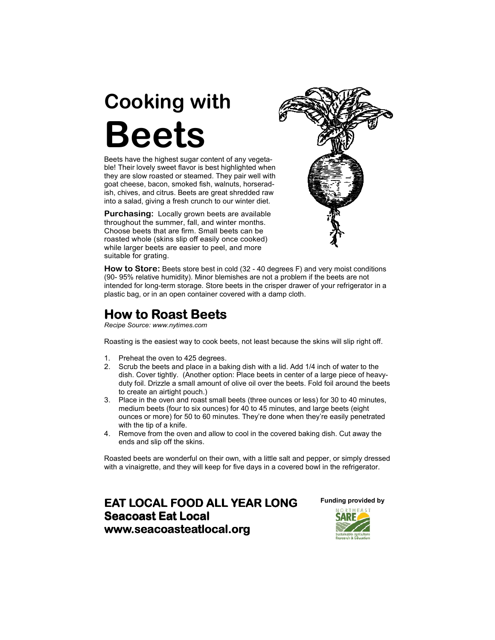## Cooking with Beets

Beets have the highest sugar content of any vegetable! Their lovely sweet flavor is best highlighted when they are slow roasted or steamed. They pair well with goat cheese, bacon, smoked fish, walnuts, horseradish, chives, and citrus. Beets are great shredded raw into a salad, giving a fresh crunch to our winter diet.

Purchasing: Locally grown beets are available throughout the summer, fall, and winter months. Choose beets that are firm. Small beets can be roasted whole (skins slip off easily once cooked) while larger beets are easier to peel, and more suitable for grating.



How to Store: Beets store best in cold (32 - 40 degrees F) and very moist conditions (90- 95% relative humidity). Minor blemishes are not a problem if the beets are not intended for long-term storage. Store beets in the crisper drawer of your refrigerator in a plastic bag, or in an open container covered with a damp cloth.

## How to Roast Beets

Recipe Source: www.nytimes.com

Roasting is the easiest way to cook beets, not least because the skins will slip right off.

- 1. Preheat the oven to 425 degrees.
- 2. Scrub the beets and place in a baking dish with a lid. Add 1/4 inch of water to the dish. Cover tightly. (Another option: Place beets in center of a large piece of heavyduty foil. Drizzle a small amount of olive oil over the beets. Fold foil around the beets to create an airtight pouch.)
- 3. Place in the oven and roast small beets (three ounces or less) for 30 to 40 minutes, medium beets (four to six ounces) for 40 to 45 minutes, and large beets (eight ounces or more) for 50 to 60 minutes. They're done when they're easily penetrated with the tip of a knife.
- 4. Remove from the oven and allow to cool in the covered baking dish. Cut away the ends and slip off the skins.

Roasted beets are wonderful on their own, with a little salt and pepper, or simply dressed with a vinaigrette, and they will keep for five days in a covered bowl in the refrigerator.

**EAT LOCAL FOOD ALL YEAR LONG** Seacoast Eat Local www.seacoasteatlocal.org

Funding provided by